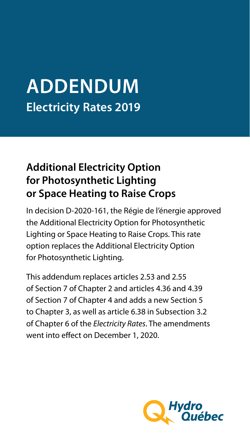# **ADDENDUM Electricity Rates 2019**

## **Additional Electricity Option for Photosynthetic Lighting or Space Heating to Raise Crops**

In decision D-2020-161, the Régie de l'énergie approved the Additional Electricity Option for Photosynthetic Lighting or Space Heating to Raise Crops. This rate option replaces the Additional Electricity Option for Photosynthetic Lighting.

This addendum replaces articles 2.53 and 2.55 of Section 7 of Chapter 2 and articles 4.36 and 4.39 of Section 7 of Chapter 4 and adds a new Section 5 to Chapter 3, as well as article 6.38 in Subsection 3.2 of Chapter 6 of the *Electricity Rates*. The amendments went into effect on December 1, 2020.

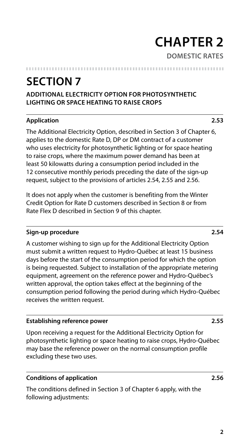## **CHAPTER 2 DOMESTIC RATES**

## **SECTION 7**

### **ADDITIONAL ELECTRICITY OPTION FOR PHOTOSYNTHETIC LIGHTING OR SPACE HEATING TO RAISE CROPS**

### **Application 2.53**

The Additional Electricity Option, described in Section 3 of Chapter 6, applies to the domestic Rate D, DP or DM contract of a customer who uses electricity for photosynthetic lighting or for space heating to raise crops, where the maximum power demand has been at least 50 kilowatts during a consumption period included in the 12 consecutive monthly periods preceding the date of the sign-up request, subject to the provisions of articles 2.54, 2.55 and 2.56.

It does not apply when the customer is benefiting from the Winter Credit Option for Rate D customers described in Section 8 or from Rate Flex D described in Section 9 of this chapter.

### **Sign-up procedure 2.54**

A customer wishing to sign up for the Additional Electricity Option must submit a written request to Hydro-Québec at least 15 business days before the start of the consumption period for which the option is being requested. Subject to installation of the appropriate metering equipment, agreement on the reference power and Hydro-Québec's written approval, the option takes effect at the beginning of the consumption period following the period during which Hydro-Québec receives the written request.

### **Establishing reference power 2.55**

Upon receiving a request for the Additional Electricity Option for photosynthetic lighting or space heating to raise crops, Hydro-Québec may base the reference power on the normal consumption profile excluding these two uses.

### **Conditions of application 2.56**

The conditions defined in Section 3 of Chapter 6 apply, with the following adjustments: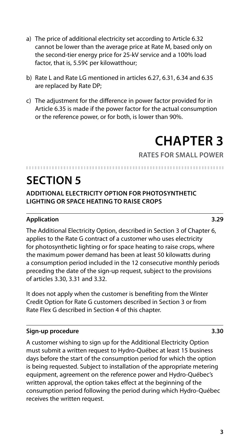- a) The price of additional electricity set according to Article 6.32 cannot be lower than the average price at Rate M, based only on the second-tier energy price for 25-kV service and a 100% load factor, that is, 5.59¢ per kilowatthour;
- b) Rate L and Rate LG mentioned in articles 6.27, 6.31, 6.34 and 6.35 are replaced by Rate DP;
- c) The adjustment for the difference in power factor provided for in Article 6.35 is made if the power factor for the actual consumption or the reference power, or for both, is lower than 90%.

## **CHAPTER 3**

**RATES FOR SMALL POWER**

### 

## **SECTION 5**

**ADDITIONAL ELECTRICITY OPTION FOR PHOTOSYNTHETIC LIGHTING OR SPACE HEATING TO RAISE CROPS**

### **Application 3.29**

The Additional Electricity Option, described in Section 3 of Chapter 6, applies to the Rate G contract of a customer who uses electricity for photosynthetic lighting or for space heating to raise crops, where the maximum power demand has been at least 50 kilowatts during a consumption period included in the 12 consecutive monthly periods preceding the date of the sign-up request, subject to the provisions of articles 3.30, 3.31 and 3.32.

It does not apply when the customer is benefiting from the Winter Credit Option for Rate G customers described in Section 3 or from Rate Flex G described in Section 4 of this chapter.

### **Sign-up procedure 3.30**

A customer wishing to sign up for the Additional Electricity Option must submit a written request to Hydro-Québec at least 15 business days before the start of the consumption period for which the option is being requested. Subject to installation of the appropriate metering equipment, agreement on the reference power and Hydro-Québec's written approval, the option takes effect at the beginning of the consumption period following the period during which Hydro-Québec receives the written request.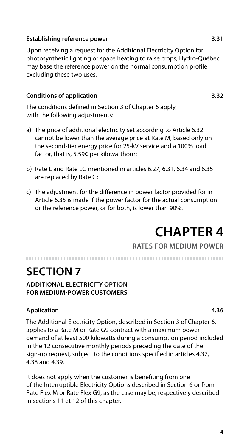### **Establishing reference power 3.31**

Upon receiving a request for the Additional Electricity Option for photosynthetic lighting or space heating to raise crops, Hydro-Québec may base the reference power on the normal consumption profile excluding these two uses.

### **Conditions of application 3.32**

The conditions defined in Section 3 of Chapter 6 apply, with the following adjustments:

- a) The price of additional electricity set according to Article 6.32 cannot be lower than the average price at Rate M, based only on the second-tier energy price for 25-kV service and a 100% load factor, that is, 5.59¢ per kilowatthour;
- b) Rate L and Rate LG mentioned in articles 6.27, 6.31, 6.34 and 6.35 are replaced by Rate G;
- c) The adjustment for the difference in power factor provided for in Article 6.35 is made if the power factor for the actual consumption or the reference power, or for both, is lower than 90%.

## **CHAPTER 4**

### **RATES FOR MEDIUM POWER**

## **SECTION 7**

**ADDITIONAL ELECTRICITY OPTION FOR MEDIUM-POWER CUSTOMERS**

### **Application 4.36**

The Additional Electricity Option, described in Section 3 of Chapter 6, applies to a Rate M or Rate G9 contract with a maximum power demand of at least 500 kilowatts during a consumption period included in the 12 consecutive monthly periods preceding the date of the sign-up request, subject to the conditions specified in articles 4.37, 4.38 and 4.39.

It does not apply when the customer is benefiting from one of the Interruptible Electricity Options described in Section 6 or from Rate Flex M or Rate Flex G9, as the case may be, respectively described in sections 11 et 12 of this chapter.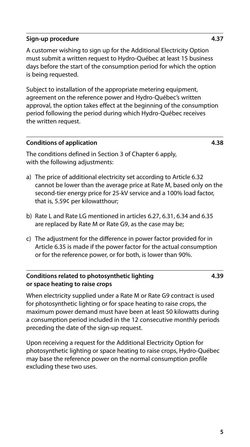### **Sign-up procedure 4.37**

A customer wishing to sign up for the Additional Electricity Option must submit a written request to Hydro-Québec at least 15 business days before the start of the consumption period for which the option is being requested.

Subject to installation of the appropriate metering equipment, agreement on the reference power and Hydro-Québec's written approval, the option takes effect at the beginning of the consumption period following the period during which Hydro-Québec receives the written request.

### **Conditions of application 4.38**

The conditions defined in Section 3 of Chapter 6 apply, with the following adjustments:

- a) The price of additional electricity set according to Article 6.32 cannot be lower than the average price at Rate M, based only on the second-tier energy price for 25-kV service and a 100% load factor, that is, 5.59¢ per kilowatthour;
- b) Rate L and Rate LG mentioned in articles 6.27, 6.31, 6.34 and 6.35 are replaced by Rate M or Rate G9, as the case may be;
- c) The adjustment for the difference in power factor provided for in Article 6.35 is made if the power factor for the actual consumption or for the reference power, or for both, is lower than 90%.

### **Conditions related to photosynthetic lighting or space heating to raise crops**

**4.39**

When electricity supplied under a Rate M or Rate G9 contract is used for photosynthetic lighting or for space heating to raise crops, the maximum power demand must have been at least 50 kilowatts during a consumption period included in the 12 consecutive monthly periods preceding the date of the sign-up request.

Upon receiving a request for the Additional Electricity Option for photosynthetic lighting or space heating to raise crops, Hydro-Québec may base the reference power on the normal consumption profile excluding these two uses.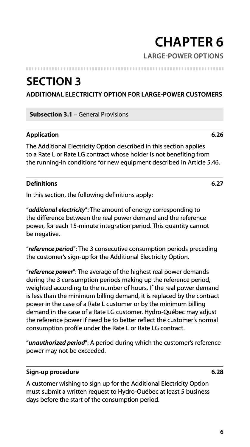# **CHAPTER 6**

### **LARGE-POWER OPTIONS**

### **SECTION 3**

**ADDITIONAL ELECTRICITY OPTION FOR LARGE-POWER CUSTOMERS**

**Subsection 3.1** – General Provisions

### **Application 6.26**

The Additional Electricity Option described in this section applies to a Rate L or Rate LG contract whose holder is not benefiting from the running-in conditions for new equipment described in Article 5.46.

### **Definitions 6.27**

In this section, the following definitions apply:

"*additional electricity*": The amount of energy corresponding to the difference between the real power demand and the reference power, for each 15-minute integration period. This quantity cannot be negative.

"*reference period*": The 3 consecutive consumption periods preceding the customer's sign-up for the Additional Electricity Option.

"*reference power*": The average of the highest real power demands during the 3 consumption periods making up the reference period, weighted according to the number of hours. If the real power demand is less than the minimum billing demand, it is replaced by the contract power in the case of a Rate L customer or by the minimum billing demand in the case of a Rate LG customer. Hydro-Québec may adjust the reference power if need be to better reflect the customer's normal consumption profile under the Rate L or Rate LG contract.

"*unauthorized period*": A period during which the customer's reference power may not be exceeded.

### **Sign-up procedure 6.28**

A customer wishing to sign up for the Additional Electricity Option must submit a written request to Hydro-Québec at least 5 business days before the start of the consumption period.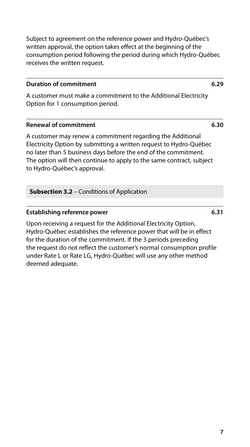Subject to agreement on the reference power and Hydro-Québec's written approval, the option takes effect at the beginning of the consumption period following the period during which Hydro-Québec receives the written request.

### **Duration of commitment 6.29**

A customer must make a commitment to the Additional Electricity Option for 1 consumption period.

### **Renewal of commitment 6.30**

A customer may renew a commitment regarding the Additional Electricity Option by submitting a written request to Hydro-Québec no later than 5 business days before the end of the commitment. The option will then continue to apply to the same contract, subject to Hydro-Québec's approval.

**Subsection 3.2** – Conditions of Application

### **Establishing reference power 6.31**

Upon receiving a request for the Additional Electricity Option, Hydro-Québec establishes the reference power that will be in effect for the duration of the commitment. If the 3 periods preceding the request do not reflect the customer's normal consumption profile under Rate L or Rate LG, Hydro-Québec will use any other method deemed adequate.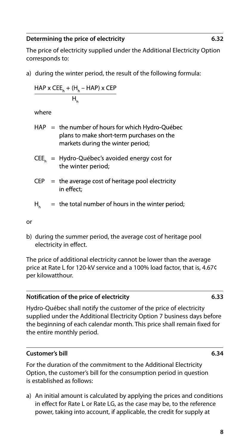### **Determining the price of electricity 6.32**

The price of electricity supplied under the Additional Electricity Option corresponds to:

a) during the winter period, the result of the following formula:

 $\frac{HAP \times CEE_h + (H_h - HAP) \times CEP}{H}$ 

where

- $HAP =$  the number of hours for which Hydro-Québec plans to make short-term purchases on the markets during the winter period;
- $CEE<sub>k</sub>$  = Hydro-Québec's avoided energy cost for the winter period;
- $CEP =$  the average cost of heritage pool electricity in effect:
- $=$  the total number of hours in the winter period;  $H_{\mu}$

or

b) during the summer period, the average cost of heritage pool electricity in effect.

The price of additional electricity cannot be lower than the average price at Rate L for 120-kV service and a 100% load factor, that is, 4.67¢ per kilowatthour.

### **Notification of the price of electricity 6.33**

Hydro-Québec shall notify the customer of the price of electricity supplied under the Additional Electricity Option 7 business days before the beginning of each calendar month. This price shall remain fixed for the entire monthly period.

### **Customer's bill 6.34**

For the duration of the commitment to the Additional Electricity Option, the customer's bill for the consumption period in question is established as follows:

a) An initial amount is calculated by applying the prices and conditions in effect for Rate L or Rate LG, as the case may be, to the reference power, taking into account, if applicable, the credit for supply at

**8**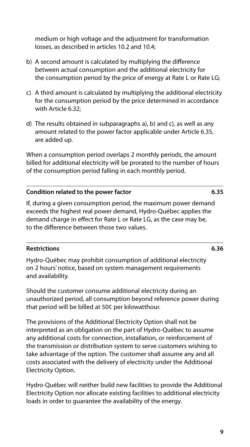**9**

medium or high voltage and the adjustment for transformation losses, as described in articles 10.2 and 10.4;

- b) A second amount is calculated by multiplying the difference between actual consumption and the additional electricity for the consumption period by the price of energy at Rate L or Rate LG;
- c) A third amount is calculated by multiplying the additional electricity for the consumption period by the price determined in accordance with Article 6.32;
- d) The results obtained in subparagraphs a), b) and c), as well as any amount related to the power factor applicable under Article 6.35, are added up.

When a consumption period overlaps 2 monthly periods, the amount billed for additional electricity will be prorated to the number of hours of the consumption period falling in each monthly period.

### **Condition related to the power factor 6.35**

If, during a given consumption period, the maximum power demand exceeds the highest real power demand, Hydro-Québec applies the demand charge in effect for Rate L or Rate LG, as the case may be, to the difference between those two values.

### **Restrictions 6.36**

Hydro-Québec may prohibit consumption of additional electricity on 2 hours' notice, based on system management requirements and availability.

Should the customer consume additional electricity during an unauthorized period, all consumption beyond reference power during that period will be billed at 50¢ per kilowatthour.

The provisions of the Additional Electricity Option shall not be interpreted as an obligation on the part of Hydro-Québec to assume any additional costs for connection, installation, or reinforcement of the transmission or distribution system to serve customers wishing to take advantage of the option. The customer shall assume any and all costs associated with the delivery of electricity under the Additional Electricity Option.

Hydro-Québec will neither build new facilities to provide the Additional Electricity Option nor allocate existing facilities to additional electricity loads in order to guarantee the availability of the energy.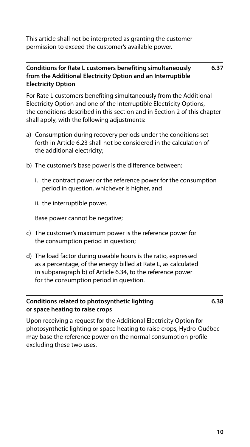This article shall not be interpreted as granting the customer permission to exceed the customer's available power.

### **Conditions for Rate L customers benefiting simultaneously from the Additional Electricity Option and an Interruptible Electricity Option 6.37**

For Rate L customers benefiting simultaneously from the Additional Electricity Option and one of the Interruptible Electricity Options, the conditions described in this section and in Section 2 of this chapter shall apply, with the following adjustments:

- a) Consumption during recovery periods under the conditions set forth in Article 6.23 shall not be considered in the calculation of the additional electricity;
- b) The customer's base power is the difference between:
	- i. the contract power or the reference power for the consumption period in question, whichever is higher, and
	- ii. the interruptible power.

Base power cannot be negative;

- c) The customer's maximum power is the reference power for the consumption period in question;
- d) The load factor during useable hours is the ratio, expressed as a percentage, of the energy billed at Rate L, as calculated in subparagraph b) of Article 6.34, to the reference power for the consumption period in question.

### **Conditions related to photosynthetic lighting or space heating to raise crops**

**6.38**

Upon receiving a request for the Additional Electricity Option for photosynthetic lighting or space heating to raise crops, Hydro-Québec may base the reference power on the normal consumption profile excluding these two uses.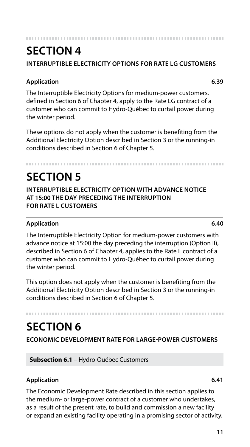### 

### **SECTION 4**

**INTERRUPTIBLE ELECTRICITY OPTIONS FOR RATE LG CUSTOMERS**

### **Application 6.39**

The Interruptible Electricity Options for medium-power customers, defined in Section 6 of Chapter 4, apply to the Rate LG contract of a customer who can commit to Hydro-Québec to curtail power during the winter period.

These options do not apply when the customer is benefiting from the Additional Electricity Option described in Section 3 or the running-in conditions described in Section 6 of Chapter 5.

## **SECTION 5**

**INTERRUPTIBLE ELECTRICITY OPTION WITH ADVANCE NOTICE AT 15:00 THE DAY PRECEDING THE INTERRUPTION FOR RATE L CUSTOMERS**

### **Application 6.40**

The Interruptible Electricity Option for medium-power customers with advance notice at 15:00 the day preceding the interruption (Option II), described in Section 6 of Chapter 4, applies to the Rate L contract of a customer who can commit to Hydro-Québec to curtail power during the winter period.

This option does not apply when the customer is benefiting from the Additional Electricity Option described in Section 3 or the running-in conditions described in Section 6 of Chapter 5.

### **SECTION 6**

**ECONOMIC DEVELOPMENT RATE FOR LARGE-POWER CUSTOMERS**

**Subsection 6.1** – Hydro-Québec Customers

### **Application 6.41**

The Economic Development Rate described in this section applies to the medium- or large-power contract of a customer who undertakes, as a result of the present rate, to build and commission a new facility or expand an existing facility operating in a promising sector of activity.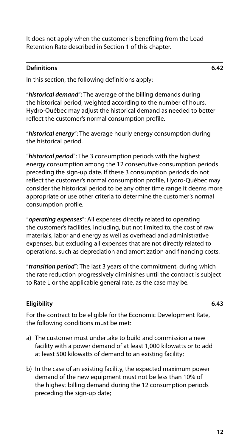It does not apply when the customer is benefiting from the Load Retention Rate described in Section 1 of this chapter.

### **Definitions 6.42**

In this section, the following definitions apply:

"*historical demand*": The average of the billing demands during the historical period, weighted according to the number of hours. Hydro-Québec may adjust the historical demand as needed to better reflect the customer's normal consumption profile.

"*historical energy*": The average hourly energy consumption during the historical period.

"*historical period*": The 3 consumption periods with the highest energy consumption among the 12 consecutive consumption periods preceding the sign-up date. If these 3 consumption periods do not reflect the customer's normal consumption profile, Hydro-Québec may consider the historical period to be any other time range it deems more appropriate or use other criteria to determine the customer's normal consumption profile.

"*operating expenses*": All expenses directly related to operating the customer's facilities, including, but not limited to, the cost of raw materials, labor and energy as well as overhead and administrative expenses, but excluding all expenses that are not directly related to operations, such as depreciation and amortization and financing costs.

"*transition period*": The last 3 years of the commitment, during which the rate reduction progressively diminishes until the contract is subject to Rate L or the applicable general rate, as the case may be.

### **Eligibility 6.43**

For the contract to be eligible for the Economic Development Rate, the following conditions must be met:

- a) The customer must undertake to build and commission a new facility with a power demand of at least 1,000 kilowatts or to add at least 500 kilowatts of demand to an existing facility;
- b) In the case of an existing facility, the expected maximum power demand of the new equipment must not be less than 10% of the highest billing demand during the 12 consumption periods preceding the sign-up date;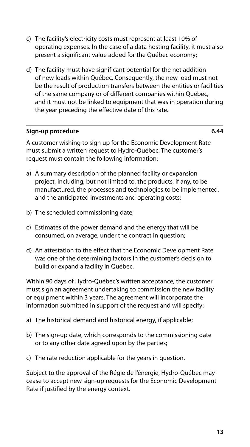- c) The facility's electricity costs must represent at least 10% of operating expenses. In the case of a data hosting facility, it must also present a significant value added for the Québec economy;
- d) The facility must have significant potential for the net addition of new loads within Québec. Consequently, the new load must not be the result of production transfers between the entities or facilities of the same company or of different companies within Québec, and it must not be linked to equipment that was in operation during the year preceding the effective date of this rate.

### **Sign-up procedure 6.44**

A customer wishing to sign up for the Economic Development Rate must submit a written request to Hydro-Québec. The customer's request must contain the following information:

- a) A summary description of the planned facility or expansion project, including, but not limited to, the products, if any, to be manufactured, the processes and technologies to be implemented, and the anticipated investments and operating costs;
- b) The scheduled commissioning date;
- c) Estimates of the power demand and the energy that will be consumed, on average, under the contract in question;
- d) An attestation to the effect that the Economic Development Rate was one of the determining factors in the customer's decision to build or expand a facility in Québec.

Within 90 days of Hydro-Québec's written acceptance, the customer must sign an agreement undertaking to commission the new facility or equipment within 3 years. The agreement will incorporate the information submitted in support of the request and will specify:

- a) The historical demand and historical energy, if applicable;
- b) The sign-up date, which corresponds to the commissioning date or to any other date agreed upon by the parties;
- c) The rate reduction applicable for the years in question.

Subject to the approval of the Régie de l'énergie, Hydro-Québec may cease to accept new sign-up requests for the Economic Development Rate if justified by the energy context.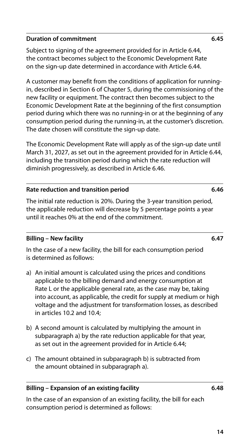### **Duration of commitment 6.45**

Subject to signing of the agreement provided for in Article 6.44, the contract becomes subject to the Economic Development Rate on the sign-up date determined in accordance with Article 6.44.

A customer may benefit from the conditions of application for runningin, described in Section 6 of Chapter 5, during the commissioning of the new facility or equipment. The contract then becomes subject to the Economic Development Rate at the beginning of the first consumption period during which there was no running-in or at the beginning of any consumption period during the running-in, at the customer's discretion. The date chosen will constitute the sign-up date.

The Economic Development Rate will apply as of the sign-up date until March 31, 2027, as set out in the agreement provided for in Article 6.44, including the transition period during which the rate reduction will diminish progressively, as described in Article 6.46.

### **Rate reduction and transition period 6.46**

The initial rate reduction is 20%. During the 3-year transition period, the applicable reduction will decrease by 5 percentage points a year until it reaches 0% at the end of the commitment.

### **Billing – New facility 6.47**

In the case of a new facility, the bill for each consumption period is determined as follows:

- a) An initial amount is calculated using the prices and conditions applicable to the billing demand and energy consumption at Rate L or the applicable general rate, as the case may be, taking into account, as applicable, the credit for supply at medium or high voltage and the adjustment for transformation losses, as described in articles 10.2 and 10.4;
- b) A second amount is calculated by multiplying the amount in subparagraph a) by the rate reduction applicable for that year, as set out in the agreement provided for in Article 6.44;
- c) The amount obtained in subparagraph b) is subtracted from the amount obtained in subparagraph a).

### **Billing – Expansion of an existing facility 6.48**

In the case of an expansion of an existing facility, the bill for each consumption period is determined as follows:

**14**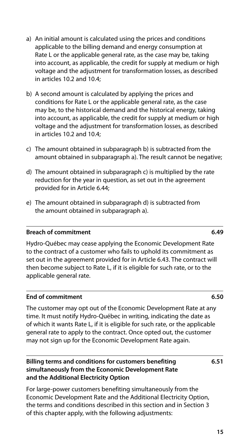**15**

- a) An initial amount is calculated using the prices and conditions applicable to the billing demand and energy consumption at Rate L or the applicable general rate, as the case may be, taking into account, as applicable, the credit for supply at medium or high voltage and the adjustment for transformation losses, as described in articles 10.2 and 10.4;
- b) A second amount is calculated by applying the prices and conditions for Rate L or the applicable general rate, as the case may be, to the historical demand and the historical energy, taking into account, as applicable, the credit for supply at medium or high voltage and the adjustment for transformation losses, as described in articles 10.2 and 10.4;
- c) The amount obtained in subparagraph b) is subtracted from the amount obtained in subparagraph a). The result cannot be negative;
- d) The amount obtained in subparagraph c) is multiplied by the rate reduction for the year in question, as set out in the agreement provided for in Article 6.44;
- e) The amount obtained in subparagraph d) is subtracted from the amount obtained in subparagraph a).

### **Breach of commitment 6.49**

Hydro-Québec may cease applying the Economic Development Rate to the contract of a customer who fails to uphold its commitment as set out in the agreement provided for in Article 6.43. The contract will then become subject to Rate L, if it is eligible for such rate, or to the applicable general rate.

### **End of commitment 6.50**

The customer may opt out of the Economic Development Rate at any time. It must notify Hydro-Québec in writing, indicating the date as of which it wants Rate L, if it is eligible for such rate, or the applicable general rate to apply to the contract. Once opted out, the customer may not sign up for the Economic Development Rate again.

### **Billing terms and conditions for customers benefiting simultaneously from the Economic Development Rate and the Additional Electricity Option**

For large-power customers benefiting simultaneously from the Economic Development Rate and the Additional Electricity Option, the terms and conditions described in this section and in Section 3 of this chapter apply, with the following adjustments:

**6.51**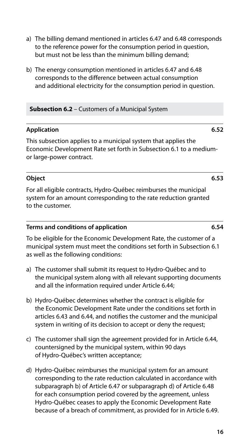- a) The billing demand mentioned in articles 6.47 and 6.48 corresponds to the reference power for the consumption period in question, but must not be less than the minimum billing demand;
- b) The energy consumption mentioned in articles 6.47 and 6.48 corresponds to the difference between actual consumption and additional electricity for the consumption period in question.

### **Subsection 6.2** – Customers of a Municipal System

### **Application 6.52**

This subsection applies to a municipal system that applies the Economic Development Rate set forth in Subsection 6.1 to a mediumor large-power contract.

### **Object 6.53**

For all eligible contracts, Hydro-Québec reimburses the municipal system for an amount corresponding to the rate reduction granted to the customer.

### **Terms and conditions of application 6.54**

To be eligible for the Economic Development Rate, the customer of a municipal system must meet the conditions set forth in Subsection 6.1 as well as the following conditions:

- a) The customer shall submit its request to Hydro-Québec and to the municipal system along with all relevant supporting documents and all the information required under Article 6.44;
- b) Hydro-Québec determines whether the contract is eligible for the Economic Development Rate under the conditions set forth in articles 6.43 and 6.44, and notifies the customer and the municipal system in writing of its decision to accept or deny the request;
- c) The customer shall sign the agreement provided for in Article 6.44, countersigned by the municipal system, within 90 days of Hydro-Québec's written acceptance;
- d) Hydro-Québec reimburses the municipal system for an amount corresponding to the rate reduction calculated in accordance with subparagraph b) of Article 6.47 or subparagraph d) of Article 6.48 for each consumption period covered by the agreement, unless Hydro-Québec ceases to apply the Economic Development Rate because of a breach of commitment, as provided for in Article 6.49.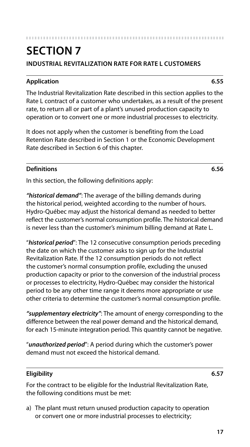**17**

### **SECTION 7 INDUSTRIAL REVITALIZATION RATE FOR RATE L CUSTOMERS**

### **Application 6.55**

The Industrial Revitalization Rate described in this section applies to the Rate L contract of a customer who undertakes, as a result of the present rate, to return all or part of a plant's unused production capacity to operation or to convert one or more industrial processes to electricity.

It does not apply when the customer is benefiting from the Load Retention Rate described in Section 1 or the Economic Development Rate described in Section 6 of this chapter.

### **Definitions 6.56**

In this section, the following definitions apply:

*"historical demand"*: The average of the billing demands during the historical period, weighted according to the number of hours. Hydro-Québec may adjust the historical demand as needed to better reflect the customer's normal consumption profile. The historical demand is never less than the customer's minimum billing demand at Rate L.

"*historical period*": The 12 consecutive consumption periods preceding the date on which the customer asks to sign up for the Industrial Revitalization Rate. If the 12 consumption periods do not reflect the customer's normal consumption profile, excluding the unused production capacity or prior to the conversion of the industrial process or processes to electricity, Hydro-Québec may consider the historical period to be any other time range it deems more appropriate or use other criteria to determine the customer's normal consumption profile.

*"supplementary electricity"*: The amount of energy corresponding to the difference between the real power demand and the historical demand, for each 15-minute integration period. This quantity cannot be negative.

"*unauthorized period*": A period during which the customer's power demand must not exceed the historical demand.

### **Eligibility 6.57**

For the contract to be eligible for the Industrial Revitalization Rate, the following conditions must be met:

a) The plant must return unused production capacity to operation or convert one or more industrial processes to electricity;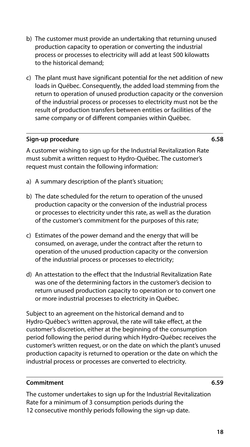- b) The customer must provide an undertaking that returning unused production capacity to operation or converting the industrial process or processes to electricity will add at least 500 kilowatts to the historical demand;
- c) The plant must have significant potential for the net addition of new loads in Québec. Consequently, the added load stemming from the return to operation of unused production capacity or the conversion of the industrial process or processes to electricity must not be the result of production transfers between entities or facilities of the same company or of different companies within Québec.

### **Sign-up procedure 6.58**

A customer wishing to sign up for the Industrial Revitalization Rate must submit a written request to Hydro-Québec. The customer's request must contain the following information:

- a) A summary description of the plant's situation;
- b) The date scheduled for the return to operation of the unused production capacity or the conversion of the industrial process or processes to electricity under this rate, as well as the duration of the customer's commitment for the purposes of this rate;
- c) Estimates of the power demand and the energy that will be consumed, on average, under the contract after the return to operation of the unused production capacity or the conversion of the industrial process or processes to electricity;
- d) An attestation to the effect that the Industrial Revitalization Rate was one of the determining factors in the customer's decision to return unused production capacity to operation or to convert one or more industrial processes to electricity in Québec.

Subject to an agreement on the historical demand and to Hydro-Québec's written approval, the rate will take effect, at the customer's discretion, either at the beginning of the consumption period following the period during which Hydro-Québec receives the customer's written request, or on the date on which the plant's unused production capacity is returned to operation or the date on which the industrial process or processes are converted to electricity.

### **Commitment 6.59**

The customer undertakes to sign up for the Industrial Revitalization Rate for a minimum of 3 consumption periods during the 12 consecutive monthly periods following the sign-up date.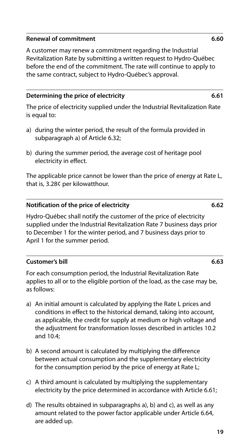### **Renewal of commitment 6.60**

A customer may renew a commitment regarding the Industrial Revitalization Rate by submitting a written request to Hydro-Québec before the end of the commitment. The rate will continue to apply to the same contract, subject to Hydro-Québec's approval.

### **Determining the price of electricity 6.61**

The price of electricity supplied under the Industrial Revitalization Rate is equal to:

- a) during the winter period, the result of the formula provided in subparagraph a) of Article 6.32;
- b) during the summer period, the average cost of heritage pool electricity in effect.

The applicable price cannot be lower than the price of energy at Rate L, that is, 3.28¢ per kilowatthour.

### **Notification of the price of electricity 6.62**

Hydro-Québec shall notify the customer of the price of electricity supplied under the Industrial Revitalization Rate 7 business days prior to December 1 for the winter period, and 7 business days prior to April 1 for the summer period.

### **Customer's bill 6.63**

For each consumption period, the Industrial Revitalization Rate applies to all or to the eligible portion of the load, as the case may be, as follows:

- a) An initial amount is calculated by applying the Rate L prices and conditions in effect to the historical demand, taking into account, as applicable, the credit for supply at medium or high voltage and the adjustment for transformation losses described in articles 10.2 and 10.4;
- b) A second amount is calculated by multiplying the difference between actual consumption and the supplementary electricity for the consumption period by the price of energy at Rate L;
- c) A third amount is calculated by multiplying the supplementary electricity by the price determined in accordance with Article 6.61;
- d) The results obtained in subparagraphs a), b) and c), as well as any amount related to the power factor applicable under Article 6.64, are added up.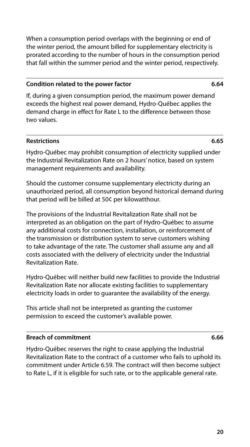When a consumption period overlaps with the beginning or end of the winter period, the amount billed for supplementary electricity is prorated according to the number of hours in the consumption period that fall within the summer period and the winter period, respectively.

### **Condition related to the power factor 6.64**

If, during a given consumption period, the maximum power demand exceeds the highest real power demand, Hydro-Québec applies the demand charge in effect for Rate L to the difference between those two values.

### **Restrictions 6.65**

Hydro-Québec may prohibit consumption of electricity supplied under the Industrial Revitalization Rate on 2 hours' notice, based on system management requirements and availability.

Should the customer consume supplementary electricity during an unauthorized period, all consumption beyond historical demand during that period will be billed at 50¢ per kilowatthour.

The provisions of the Industrial Revitalization Rate shall not be interpreted as an obligation on the part of Hydro-Québec to assume any additional costs for connection, installation, or reinforcement of the transmission or distribution system to serve customers wishing to take advantage of the rate. The customer shall assume any and all costs associated with the delivery of electricity under the Industrial Revitalization Rate.

Hydro-Québec will neither build new facilities to provide the Industrial Revitalization Rate nor allocate existing facilities to supplementary electricity loads in order to guarantee the availability of the energy.

This article shall not be interpreted as granting the customer permission to exceed the customer's available power.

### **Breach of commitment 6.66**

Hydro-Québec reserves the right to cease applying the Industrial Revitalization Rate to the contract of a customer who fails to uphold its commitment under Article 6.59. The contract will then become subject to Rate L, if it is eligible for such rate, or to the applicable general rate.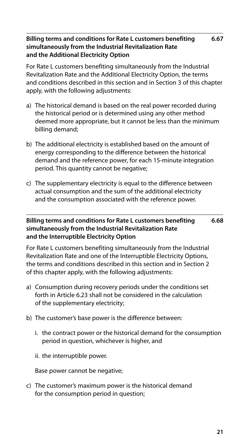### **Billing terms and conditions for Rate L customers benefiting simultaneously from the Industrial Revitalization Rate and the Additional Electricity Option 6.67**

For Rate L customers benefiting simultaneously from the Industrial Revitalization Rate and the Additional Electricity Option, the terms and conditions described in this section and in Section 3 of this chapter apply, with the following adjustments:

- a) The historical demand is based on the real power recorded during the historical period or is determined using any other method deemed more appropriate, but it cannot be less than the minimum billing demand;
- b) The additional electricity is established based on the amount of energy corresponding to the difference between the historical demand and the reference power, for each 15-minute integration period. This quantity cannot be negative;
- c) The supplementary electricity is equal to the difference between actual consumption and the sum of the additional electricity and the consumption associated with the reference power.

### **Billing terms and conditions for Rate L customers benefiting simultaneously from the Industrial Revitalization Rate and the Interruptible Electricity Option 6.68**

For Rate L customers benefiting simultaneously from the Industrial Revitalization Rate and one of the Interruptible Electricity Options, the terms and conditions described in this section and in Section 2 of this chapter apply, with the following adjustments:

- a) Consumption during recovery periods under the conditions set forth in Article 6.23 shall not be considered in the calculation of the supplementary electricity;
- b) The customer's base power is the difference between:
	- i. the contract power or the historical demand for the consumption period in question, whichever is higher, and
	- ii. the interruptible power.

Base power cannot be negative;

c) The customer's maximum power is the historical demand for the consumption period in question;